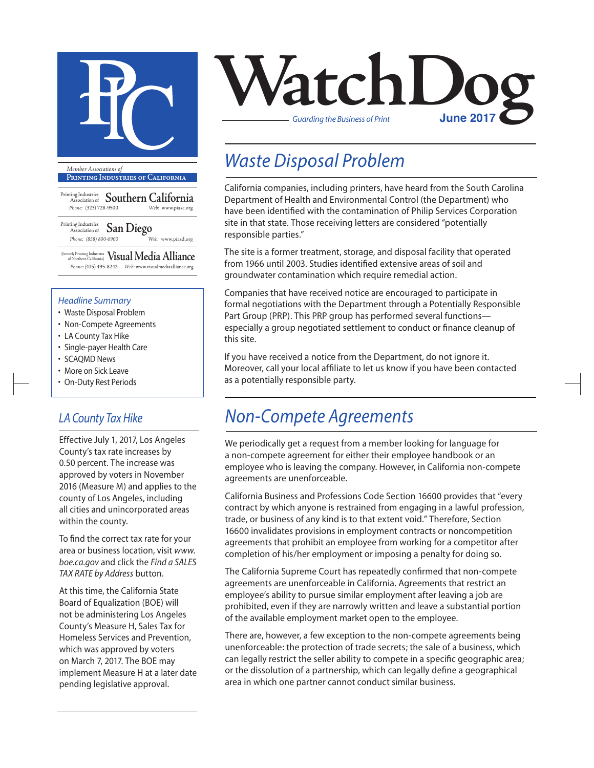

**Printing Industries of California**

Printing Industries Association of **Southern California** *Phone:* (323) 728-9500 *Web:* www.piasc.org

Printing Industries Association of **San Diego** *Phone: (858) 800-6900 Web:* www.piasd.org

(formerly Printing Industries of Northern California) **Visual Media Alliance** *Phone:* (415) 495-8242 *Web:* www.visualmediaalliance.org

#### *Headline Summary*

- Waste Disposal Problem
- Non-Compete Agreements
- LA County Tax Hike
- Single-payer Health Care
- SCAQMD News
- More on Sick Leave
- On-Duty Rest Periods

### *LA County Tax Hike*

Effective July 1, 2017, Los Angeles County's tax rate increases by 0.50 percent. The increase was approved by voters in November 2016 (Measure M) and applies to the county of Los Angeles, including all cities and unincorporated areas within the county.

To find the correct tax rate for your area or business location, visit *www. boe.ca.gov* and click the *Find a SALES TAX RATE by Address* button.

At this time, the California State Board of Equalization (BOE) will not be administering Los Angeles County's Measure H, Sales Tax for Homeless Services and Prevention, which was approved by voters on March 7, 2017. The BOE may implement Measure H at a later date pending legislative approval.



## *Waste Disposal Problem*

California companies, including printers, have heard from the South Carolina Department of Health and Environmental Control (the Department) who have been identified with the contamination of Philip Services Corporation site in that state. Those receiving letters are considered "potentially responsible parties."

The site is a former treatment, storage, and disposal facility that operated from 1966 until 2003. Studies identified extensive areas of soil and groundwater contamination which require remedial action.

Companies that have received notice are encouraged to participate in formal negotiations with the Department through a Potentially Responsible Part Group (PRP). This PRP group has performed several functions especially a group negotiated settlement to conduct or finance cleanup of this site.

If you have received a notice from the Department, do not ignore it. Moreover, call your local affiliate to let us know if you have been contacted as a potentially responsible party.

### *Non-Compete Agreements*

We periodically get a request from a member looking for language for a non-compete agreement for either their employee handbook or an employee who is leaving the company. However, in California non-compete agreements are unenforceable.

California Business and Professions Code Section 16600 provides that "every contract by which anyone is restrained from engaging in a lawful profession, trade, or business of any kind is to that extent void." Therefore, Section 16600 invalidates provisions in employment contracts or noncompetition agreements that prohibit an employee from working for a competitor after completion of his/her employment or imposing a penalty for doing so.

The California Supreme Court has repeatedly confirmed that non-compete agreements are unenforceable in California. Agreements that restrict an employee's ability to pursue similar employment after leaving a job are prohibited, even if they are narrowly written and leave a substantial portion of the available employment market open to the employee.

There are, however, a few exception to the non-compete agreements being unenforceable: the protection of trade secrets; the sale of a business, which can legally restrict the seller ability to compete in a specific geographic area; or the dissolution of a partnership, which can legally define a geographical area in which one partner cannot conduct similar business.